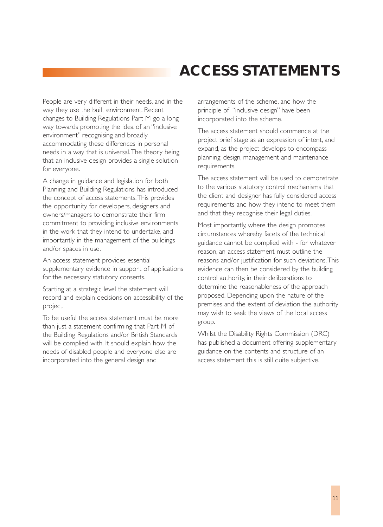## **ACCESS STATEMENTS**

People are very different in their needs, and in the way they use the built environment. Recent changes to Building Regulations Part M go a long way towards promoting the idea of an "inclusive environment" recognising and broadly accommodating these differences in personal needs in a way that is universal.The theory being that an inclusive design provides a single solution for everyone.

A change in guidance and legislation for both Planning and Building Regulations has introduced the concept of access statements.This provides the opportunity for developers, designers and owners/managers to demonstrate their firm commitment to providing inclusive environments in the work that they intend to undertake, and importantly in the management of the buildings and/or spaces in use.

An access statement provides essential supplementary evidence in support of applications for the necessary statutory consents.

Starting at a strategic level the statement will record and explain decisions on accessibility of the project.

To be useful the access statement must be more than just a statement confirming that Part M of the Building Regulations and/or British Standards will be complied with. It should explain how the needs of disabled people and everyone else are incorporated into the general design and

arrangements of the scheme, and how the principle of "inclusive design" have been incorporated into the scheme.

The access statement should commence at the project brief stage as an expression of intent, and expand, as the project develops to encompass planning, design, management and maintenance requirements.

The access statement will be used to demonstrate to the various statutory control mechanisms that the client and designer has fully considered access requirements and how they intend to meet them and that they recognise their legal duties.

Most importantly, where the design promotes circumstances whereby facets of the technical guidance cannot be complied with - for whatever reason, an access statement must outline the reasons and/or justification for such deviations.This evidence can then be considered by the building control authority, in their deliberations to determine the reasonableness of the approach proposed. Depending upon the nature of the premises and the extent of deviation the authority may wish to seek the views of the local access group.

Whilst the Disability Rights Commission (DRC) has published a document offering supplementary guidance on the contents and structure of an access statement this is still quite subjective.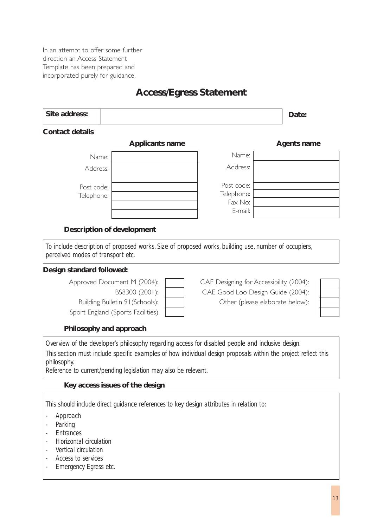In an attempt to offer some further direction an Access Statement Template has been prepared and incorporated purely for guidance.

### **Access/Egress Statement**

| <b>Contact details</b><br><b>Applicants name</b><br>Name:<br>Name:<br>Address:<br>Address:<br>Post code:<br>Post code:<br>Telephone:<br>Telephone:<br>Fax No:<br>E-mail:<br><b>Description of development</b><br>To include description of proposed works. Size of proposed works, building use, number of occupiers,<br>perceived modes of transport etc.<br>Approved Document M (2004):<br>BS8300 (2001):<br>CAE Good Loo Design Guide (2004):<br>Building Bulletin 91 (Schools):<br>Other (please elaborate below):<br>Sport England (Sports Facilities)<br>Philosophy and approach<br>Overview of the developer's philosophy regarding access for disabled people and inclusive design.<br>This section must include specific examples of how individual design proposals within the project reflect this<br>philosophy.<br>Reference to current/pending legislation may also be relevant. | Date:                                   |  |
|------------------------------------------------------------------------------------------------------------------------------------------------------------------------------------------------------------------------------------------------------------------------------------------------------------------------------------------------------------------------------------------------------------------------------------------------------------------------------------------------------------------------------------------------------------------------------------------------------------------------------------------------------------------------------------------------------------------------------------------------------------------------------------------------------------------------------------------------------------------------------------------------|-----------------------------------------|--|
|                                                                                                                                                                                                                                                                                                                                                                                                                                                                                                                                                                                                                                                                                                                                                                                                                                                                                                |                                         |  |
|                                                                                                                                                                                                                                                                                                                                                                                                                                                                                                                                                                                                                                                                                                                                                                                                                                                                                                | <b>Agents name</b>                      |  |
|                                                                                                                                                                                                                                                                                                                                                                                                                                                                                                                                                                                                                                                                                                                                                                                                                                                                                                |                                         |  |
|                                                                                                                                                                                                                                                                                                                                                                                                                                                                                                                                                                                                                                                                                                                                                                                                                                                                                                |                                         |  |
|                                                                                                                                                                                                                                                                                                                                                                                                                                                                                                                                                                                                                                                                                                                                                                                                                                                                                                |                                         |  |
|                                                                                                                                                                                                                                                                                                                                                                                                                                                                                                                                                                                                                                                                                                                                                                                                                                                                                                |                                         |  |
| Design standard followed:                                                                                                                                                                                                                                                                                                                                                                                                                                                                                                                                                                                                                                                                                                                                                                                                                                                                      |                                         |  |
|                                                                                                                                                                                                                                                                                                                                                                                                                                                                                                                                                                                                                                                                                                                                                                                                                                                                                                |                                         |  |
|                                                                                                                                                                                                                                                                                                                                                                                                                                                                                                                                                                                                                                                                                                                                                                                                                                                                                                |                                         |  |
|                                                                                                                                                                                                                                                                                                                                                                                                                                                                                                                                                                                                                                                                                                                                                                                                                                                                                                |                                         |  |
|                                                                                                                                                                                                                                                                                                                                                                                                                                                                                                                                                                                                                                                                                                                                                                                                                                                                                                |                                         |  |
|                                                                                                                                                                                                                                                                                                                                                                                                                                                                                                                                                                                                                                                                                                                                                                                                                                                                                                | CAE Designing for Accessibility (2004): |  |
|                                                                                                                                                                                                                                                                                                                                                                                                                                                                                                                                                                                                                                                                                                                                                                                                                                                                                                |                                         |  |
|                                                                                                                                                                                                                                                                                                                                                                                                                                                                                                                                                                                                                                                                                                                                                                                                                                                                                                |                                         |  |
|                                                                                                                                                                                                                                                                                                                                                                                                                                                                                                                                                                                                                                                                                                                                                                                                                                                                                                |                                         |  |
|                                                                                                                                                                                                                                                                                                                                                                                                                                                                                                                                                                                                                                                                                                                                                                                                                                                                                                |                                         |  |
|                                                                                                                                                                                                                                                                                                                                                                                                                                                                                                                                                                                                                                                                                                                                                                                                                                                                                                |                                         |  |
|                                                                                                                                                                                                                                                                                                                                                                                                                                                                                                                                                                                                                                                                                                                                                                                                                                                                                                |                                         |  |
|                                                                                                                                                                                                                                                                                                                                                                                                                                                                                                                                                                                                                                                                                                                                                                                                                                                                                                |                                         |  |
| Key access issues of the design                                                                                                                                                                                                                                                                                                                                                                                                                                                                                                                                                                                                                                                                                                                                                                                                                                                                |                                         |  |
|                                                                                                                                                                                                                                                                                                                                                                                                                                                                                                                                                                                                                                                                                                                                                                                                                                                                                                |                                         |  |

- *Approach*
- *Parking*
- *Entrances*
- *Horizontal circulation*
- *Vertical circulation*
- *Access to services*
- *Emergency Egress etc.*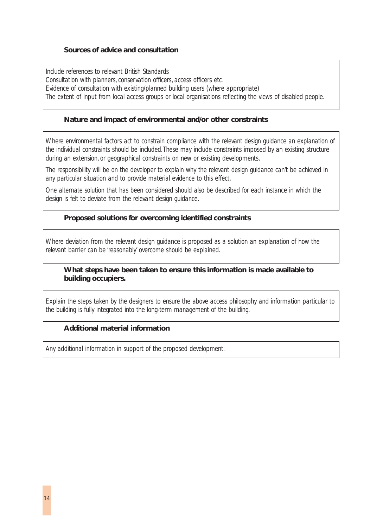#### **Sources of advice and consultation**

*Include references to relevant British Standards Consultation with planners, conservation officers, access officers etc. Evidence of consultation with existing/planned building users (where appropriate) The extent of input from local access groups or local organisations reflecting the views of disabled people.*

#### **Nature and impact of environmental and/or other constraints**

*Where environmental factors act to constrain compliance with the relevant design guidance an explanation of the individual constraints should be included.These may include constraints imposed by an existing structure during an extension, or geographical constraints on new or existing developments.*

*The responsibility will be on the developer to explain why the relevant design guidance can't be achieved in any particular situation and to provide material evidence to this effect.*

*One alternate solution that has been considered should also be described for each instance in which the design is felt to deviate from the relevant design guidance.*

#### **Proposed solutions for overcoming identified constraints**

*Where deviation from the relevant design guidance is proposed as a solution an explanation of how the relevant barrier can be 'reasonably' overcome should be explained.*

#### **What steps have been taken to ensure this information is made available to building occupiers.**

*Explain the steps taken by the designers to ensure the above access philosophy and information particular to the building is fully integrated into the long-term management of the building.*

#### **Additional material information**

*Any additional information in support of the proposed development.*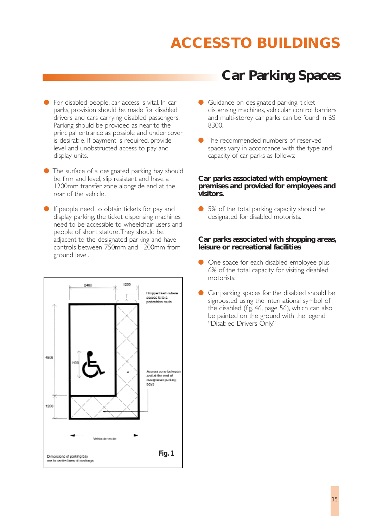- For disabled people, car access is vital. In car parks, provision should be made for disabled drivers and cars carrying disabled passengers. Parking should be provided as near to the principal entrance as possible and under cover is desirable. If payment is required, provide level and unobstructed access to pay and display units.
- The surface of a designated parking bay should be firm and level, slip resistant and have a 1200mm transfer zone alongside and at the rear of the vehicle.
- If people need to obtain tickets for pay and display parking, the ticket dispensing machines need to be accessible to wheelchair users and people of short stature.They should be adjacent to the designated parking and have controls between 750mm and 1200mm from ground level.



### **Car Parking Spaces**

- Guidance on designated parking, ticket dispensing machines, vehicular control barriers and multi-storey car parks can be found in BS 8300.
- The recommended numbers of reserved spaces vary in accordance with the type and capacity of car parks as follows:

#### **Car parks associated with employment premises and provided for employees and visitors.**

● 5% of the total parking capacity should be designated for disabled motorists.

#### **Car parks associated with shopping areas, leisure or recreational facilities**

- One space for each disabled employee plus 6% of the total capacity for visiting disabled motorists.
- Car parking spaces for the disabled should be signposted using the international symbol of the disabled (fig. 46, page 56), which can also be painted on the ground with the legend "Disabled Drivers Only."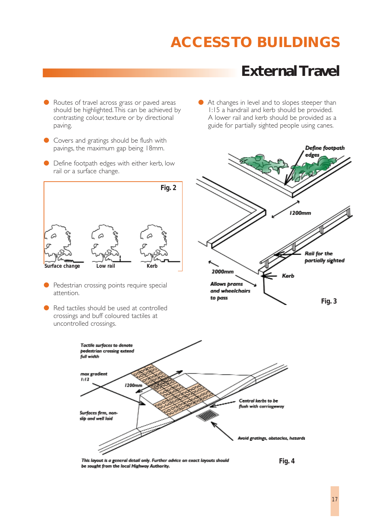● At changes in level and to slopes steeper than 1:15 a handrail and kerb should be provided. A lower rail and kerb should be provided as a

### **External Travel**

- Routes of travel across grass or paved areas should be highlighted.This can be achieved by contrasting colour, texture or by directional paving.
- Covers and gratings should be flush with pavings, the maximum gap being 18mm.
- Define footpath edges with either kerb, low rail or a surface change.



- Pedestrian crossing points require special attention.
- Red tactiles should be used at controlled crossings and buff coloured tactiles at uncontrolled crossings.





This layout is a general detail only. Further advice on exact layouts should be sought from the local Highway Authority.

*Fig. 4*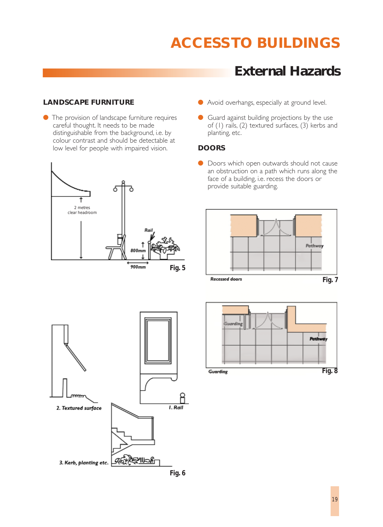### **External Hazards**

#### **LANDSCAPE FURNITURE**

● The provision of landscape furniture requires careful thought. It needs to be made distinguishable from the background, i.e. by colour contrast and should be detectable at low level for people with impaired vision.



- Avoid overhangs, especially at ground level.
- Guard against building projections by the use of (1) rails, (2) textured surfaces, (3) kerbs and planting, etc.

#### **DOORS**

● Doors which open outwards should not cause an obstruction on a path which runs along the face of a building, i.e. recess the doors or provide suitable guarding.





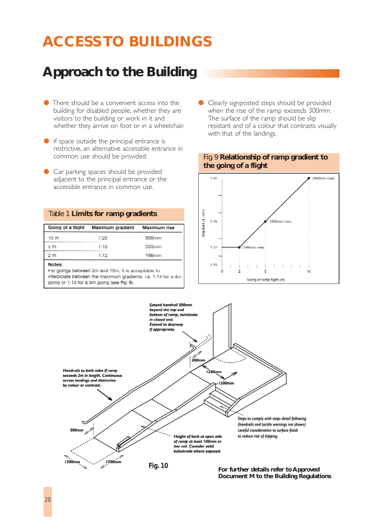## **Approach to the Building**

- There should be a convenient access into the building for disabled people, whether they are visitors to the building or work in it and whether they arrive on foot or in a wheelchair.
- If space outside the principal entrance is restrictive, an alternative accessible entrance in common use should be provided.
- Car parking spaces should be provided adjacent to the principal entrance or the accessible entrance in common use.

#### Table 1 **Limits for ramp gradients**

|                | Going of a flight Maximum gradient | Maximum rise |  |
|----------------|------------------------------------|--------------|--|
| 10 m           | 1:20                               | 500mm        |  |
| ង m            | 1:15                               | 333mm        |  |
| 2 <sub>m</sub> | 1:12                               | 166mm        |  |

#### Notes:

For goings between 2m and 10m, it is acceplable to interpolate between the maximum gradients, i.e. 1:14 for a 4m going or 1:19 for a 9m going (see Fig. 9).

Clearly signposted steps should be provided when the rise of the ramp exceeds 300mm. The surface of the ramp should be slip resistant and of a colour that contrasts visually with that of the landings.







**For further details refer to Approved Document M to the Building Regulations**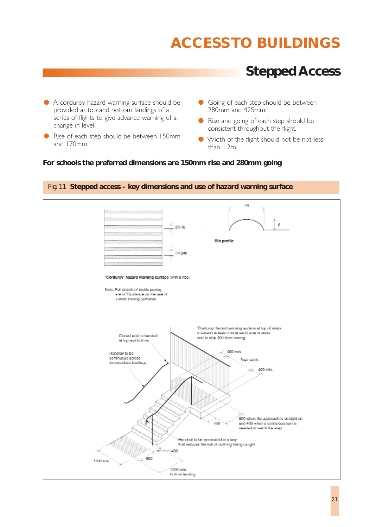### **Stepped Access**

- A corduroy hazard warning surface should be provided at top and bottom landings of a series of flights to give advance warning of a change in level.
- Rise of each step should be between 150mm and 170mm.
- Going of each step should be between 280mm and 425mm.
- Rise and going of each step should be consistent throughout the flight.
- Width of the flight should not be not less than 1.2m.

#### **For schools the preferred dimensions are 150mm rise and 280mm going**



#### Fig. 11 **Stepped access – key dimensions and use of hazard warning surface**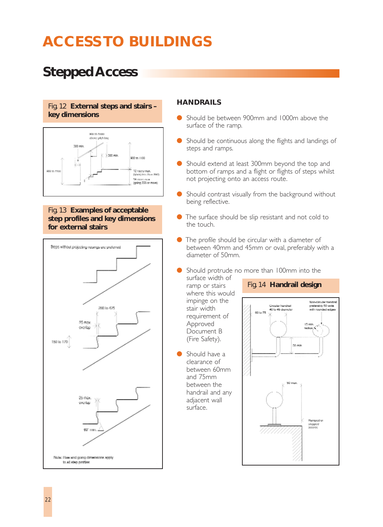## **Stepped Access**

#### Fig. 12 **External steps and stairs – key dimensions**



Fig. 13 **Examples of acceptable step profiles and key dimensions for external stairs**



#### **HANDRAILS**

- Should be between 900mm and 1000m above the surface of the ramp.
- Should be continuous along the flights and landings of steps and ramps.
- Should extend at least 300mm beyond the top and bottom of ramps and a flight or flights of steps whilst not projecting onto an access route.
- Should contrast visually from the background without being reflective.
- The surface should be slip resistant and not cold to the touch.
- The profile should be circular with a diameter of between 40mm and 45mm or oval, preferably with a diameter of 50mm.
- Should protrude no more than 100mm into the

surface width of ramp or stairs where this would impinge on the stair width requirement of Approved Document B (Fire Safety).

Should have a clearance of between 60mm and 75mm between the handrail and any adjacent wall surface.

#### Fig. 14 **Handrail design**

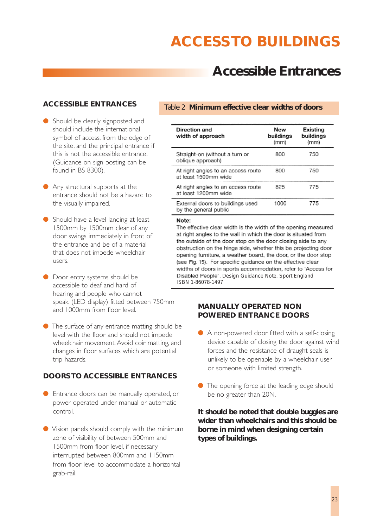### **Accessible Entrances**

#### **ACCESSIBLE ENTRANCES**

- Should be clearly signposted and should include the international symbol of access, from the edge of the site, and the principal entrance if this is not the accessible entrance. (Guidance on sign posting can be found in BS 8300).
- Any structural supports at the entrance should not be a hazard to the visually impaired.
- Should have a level landing at least 1500mm by 1500mm clear of any door swings immediately in front of the entrance and be of a material that does not impede wheelchair users.
- Door entry systems should be accessible to deaf and hard of hearing and people who cannot speak. (LED display) fitted between 750mm and 1000mm from floor level.
- The surface of any entrance matting should be level with the floor and should not impede wheelchair movement. Avoid coir matting, and changes in floor surfaces which are potential trip hazards.

#### **DOORS TO ACCESSIBLE ENTRANCES**

- Entrance doors can be manually operated, or power operated under manual or automatic control.
- Vision panels should comply with the minimum zone of visibility of between 500mm and 1500mm from floor level, if necessary interrupted between 800mm and 1150mm from floor level to accommodate a horizontal grab-rail.

#### Table 2 **Minimum effective clear widths of doors**

| Direction and<br>width of approach                         | New<br>buildings<br>(mm) | Existing<br>buildings<br>(mm) |
|------------------------------------------------------------|--------------------------|-------------------------------|
| Straight-on (without a turn or<br>oblique approach)        | 800                      | 750                           |
| At right angles to an access route<br>at least 1500mm wide | 800                      | 750                           |
| At right angles to an access route<br>at least 1200mm wide | 825                      | 775                           |
| External doors to buildings used<br>by the general public  | 1000                     | 775                           |

#### Note:

The effective clear width is the width of the opening measured at right angles to the wall in which the door is situated from the outside of the door stop on the door closing side to any obstruction on the hinge side, whether this be projecting door opening furniture, a weather board, the door, or the door stop (see Fig. 15). For specific guidance on the effective clear widths of doors in sports accommodation, refer to 'Access for Disabled People<sup>1</sup>, Design Guidance Note, Sport England ISBN 1-86078-1497

#### **MANUALLY OPERATED NON POWERED ENTRANCE DOORS**

- A non-powered door fitted with a self-closing device capable of closing the door against wind forces and the resistance of draught seals is unlikely to be openable by a wheelchair user or someone with limited strength.
- The opening force at the leading edge should be no greater than 20N.

**It should be noted that double buggies are wider than wheelchairs and this should be borne in mind when designing certain types of buildings.**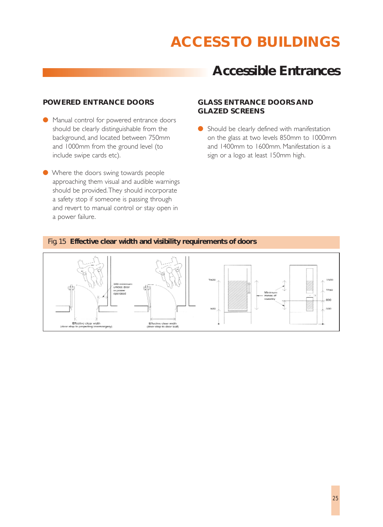### **Accessible Entrances**

#### **POWERED ENTRANCE DOORS**

- Manual control for powered entrance doors should be clearly distinguishable from the background, and located between 750mm and 1000mm from the ground level (to include swipe cards etc).
- Where the doors swing towards people approaching them visual and audible warnings should be provided.They should incorporate a safety stop if someone is passing through and revert to manual control or stay open in a power failure.

#### **GLASS ENTRANCE DOORS AND GLAZED SCREENS**

● Should be clearly defined with manifestation on the glass at two levels 850mm to 1000mm and 1400mm to 1600mm. Manifestation is a sign or a logo at least 150mm high.

#### Fig. 15 **Effective clear width and visibility requirements of doors**

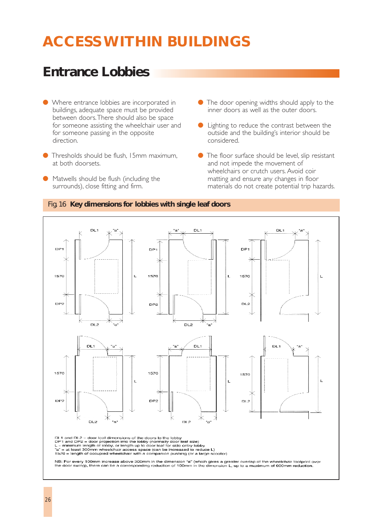### **Entrance Lobbies**

- Where entrance lobbies are incorporated in buildings, adequate space must be provided between doors.There should also be space for someone assisting the wheelchair user and for someone passing in the opposite direction.
- Thresholds should be flush, 15mm maximum, at both doorsets.
- Matwells should be flush (including the surrounds), close fitting and firm.
- $\bullet$  The door opening widths should apply to the inner doors as well as the outer doors.
- Lighting to reduce the contrast between the outside and the building's interior should be considered.
- The floor surface should be level, slip resistant and not impede the movement of wheelchairs or crutch users. Avoid coir matting and ensure any changes in floor materials do not create potential trip hazards.



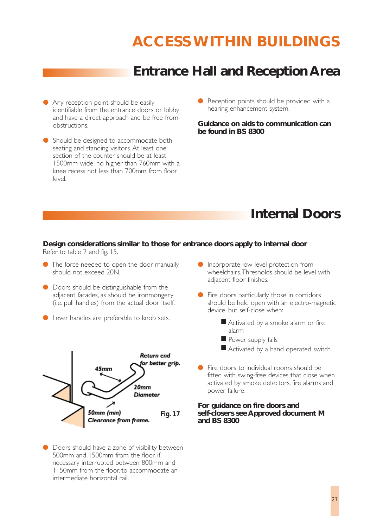### **Entrance Hall and Reception Area**

- Any reception point should be easily identifiable from the entrance doors or lobby and have a direct approach and be free from obstructions.
- Should be designed to accommodate both seating and standing visitors. At least one section of the counter should be at least 1500mm wide, no higher than 760mm with a knee recess not less than 700mm from floor level.
- Reception points should be provided with a hearing enhancement system.

**Guidance on aids to communication can be found in BS 8300**

### **Internal Doors**

#### **Design considerations similar to those for entrance doors apply to internal door** Refer to table 2 and fig. 15.

- The force needed to open the door manually should not exceed 20N.
- Doors should be distinguishable from the adjacent facades, as should be ironmongery (i.e. pull handles) from the actual door itself.
- Lever handles are preferable to knob sets.



● Doors should have a zone of visibility between 500mm and 1500mm from the floor, if necessary interrupted between 800mm and 1150mm from the floor, to accommodate an intermediate horizontal rail.

- Incorporate low-level protection from wheelchairs.Thresholds should be level with adjacent floor finishes.
- Fire doors particularly those in corridors should be held open with an electro-magnetic device, but self-close when:
	- Activated by a smoke alarm or fire alarm
	- Power supply fails
	- Activated by a hand operated switch.
- Fire doors to individual rooms should be fitted with swing-free devices that close when activated by smoke detectors, fire alarms and power failure.

#### **For guidance on fire doors and self-closers see Approved document M and BS 8300**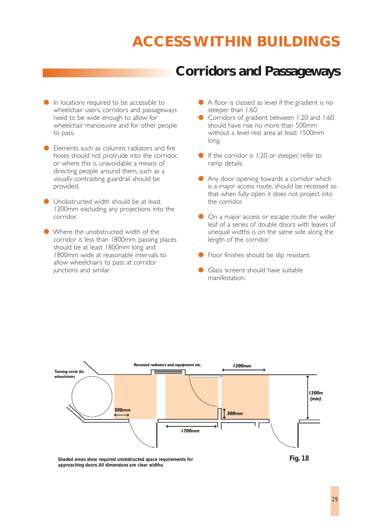### **Corridors and Passageways**

- In locations required to be accessible to wheelchair users, corridors and passageways need to be wide enough to allow for wheelchair manoeuvre and for other people to pass.
- Elements such as columns radiators and fire hoses should not protrude into the corridor, or where this is unavoidable a means of directing people around them, such as a visually contrasting guardrail should be provided.
- Unobstructed width should be at least 1200mm excluding any projections into the corridor.
- Where the unobstructed width of the corridor is less than 1800mm, passing places should be at least 1800mm long and 1800mm wide at reasonable intervals to allow wheelchairs to pass at corridor junctions and similar.
- A floor is classed as level if the gradient is no steeper than 1:60.
- Corridors of gradient between 1:20 and 1:60 should have rise no more than 500mm without a level rest area at least 1500mm long.
- If the corridor is 1:20 or steeper, refer to ramp details.
- Any door opening towards a corridor which is a major access route, should be recessed so that when fully open it does not project into the corridor.
- On a major access or escape route the wider leaf of a series of double doors with leaves of unequal widths is on the same side along the length of the corridor.
- Floor finishes should be slip resistant.
- Glass screens should have suitable manifestation.



*Shaded areas show required unobstructed space requirements for approaching doors.All dimensions are clear widths.*

*Fig. 18*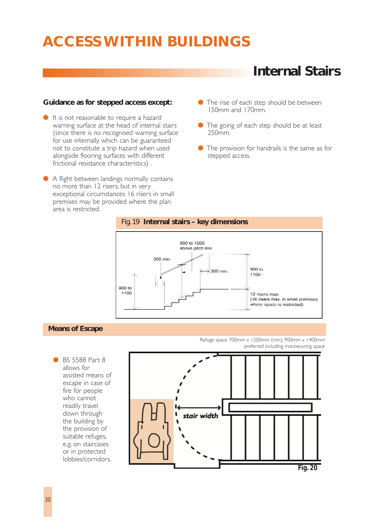### **Internal Stairs**

#### **Guidance as for stepped access except:**

- It is not reasonable to require a hazard warning surface at the head of internal stairs (since there is no recognised warning surface for use internally, which can be guaranteed not to constitute a trip hazard when used alongside flooring surfaces with different frictional resistance characteristics) .
- A flight between landings normally contains no more than 12 risers, but in very exceptional circumstances 16 risers in small premises may be provided where the plan area is restricted.
- The rise of each step should be between 150mm and 170mm.
- The going of each step should be at least 250mm.
- The provision for handrails is the same as for stepped access.





#### **Means of Escape**

**BS 5588 Part 8** allows for assisted means of escape in case of fire for people who cannot readily travel down through the building by the provision of suitable refuges, e.g. on staircases or in protected lobbies/corridors. Refuge space 700mm x 1200mm (min); 900mm x 1400mm preferred including manoeuvring space

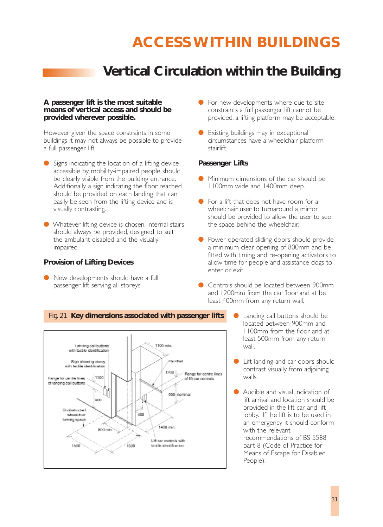### **Vertical Circulation within the Building**

#### **A passenger lift is the most suitable means of vertical access and should be provided wherever possible.**

However given the space constraints in some buildings it may not always be possible to provide a full passenger lift.

- Signs indicating the location of a lifting device accessible by mobility-impaired people should be clearly visible from the building entrance. Additionally a sign indicating the floor reached should be provided on each landing that can easily be seen from the lifting device and is visually contrasting.
- Whatever lifting device is chosen, internal stairs should always be provided, designed to suit the ambulant disabled and the visually impaired.

#### **Provision of Lifting Devices**

● New developments should have a full passenger lift serving all storeys.

- $\bullet$  For new developments where due to site constraints a full passenger lift cannot be provided, a lifting platform may be acceptable.
- Existing buildings may in exceptional circumstances have a wheelchair platform stairlift.

#### **Passenger Lifts**

- Minimum dimensions of the car should be 1100mm wide and 1400mm deep.
- For a lift that does not have room for a wheelchair user to turnaround a mirror should be provided to allow the user to see the space behind the wheelchair.
- Power operated sliding doors should provide a minimum clear opening of 800mm and be fitted with timing and re-opening activators to allow time for people and assistance dogs to enter or exit.
- Controls should be located between 900mm and 1200mm from the car floor and at be least 400mm from any return wall.



- Landing call buttons should be located between 900mm and 1100mm from the floor and at least 500mm from any return wall.
- Lift landing and car doors should contrast visually from adjoining walls.
- Audible and visual indication of lift arrival and location should be provided in the lift car and lift lobby. If the lift is to be used in an emergency it should conform with the relevant recommendations of BS 5588 part 8 (Code of Practice for Means of Escape for Disabled People).

### Fig. 21 **Key dimensions associated with passenger lifts**